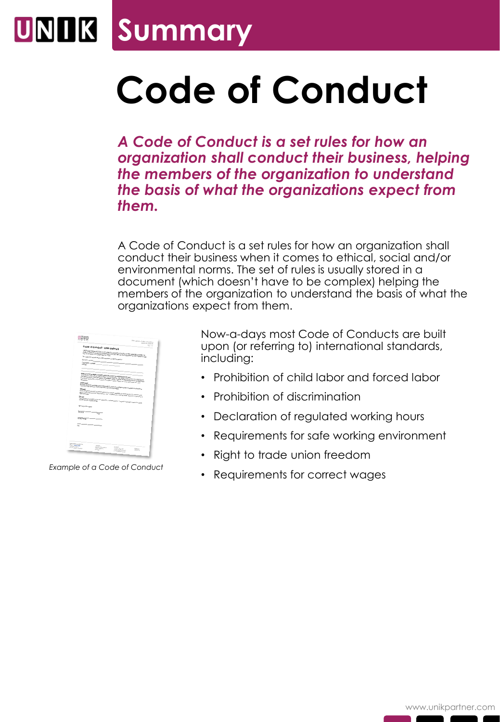## UNIK **Summary**

## **Code of Conduct**

*A Code of Conduct is a set rules for how an organization shall conduct their business, helping the members of the organization to understand the basis of what the organizations expect from them.*

A Code of Conduct is a set rules for how an organization shall conduct their business when it comes to ethical, social and/or environmental norms. The set of rules is usually stored in a document (which doesn't have to be complex) helping the members of the organization to understand the basis of what the organizations expect from them.

|                                           |                                                                                                                                                                                                                                                                                                                                                                                                                                                                                                                                                                                                                                                                                  | UNIT rackets & Could of Canadust<br><b>Total 20 to do as</b> |
|-------------------------------------------|----------------------------------------------------------------------------------------------------------------------------------------------------------------------------------------------------------------------------------------------------------------------------------------------------------------------------------------------------------------------------------------------------------------------------------------------------------------------------------------------------------------------------------------------------------------------------------------------------------------------------------------------------------------------------------|--------------------------------------------------------------|
|                                           |                                                                                                                                                                                                                                                                                                                                                                                                                                                                                                                                                                                                                                                                                  | Rev: Lit                                                     |
| Conservance<br>Opractionmake.<br>Address: | Code of Conduct - UNIX Network<br>Date Against Duration will (2000) in conventional to constructing the business of the highest serviced boards from<br>Une spine beauty of 1990 + comments in processing in the rest of the Comments.<br>Code of Consent awards that of manifest in the UNE Named (bulling patients of MCTalling Comme<br>This come of constitutions of understand and ull be hilosopolity                                                                                                                                                                                                                                                                      |                                                              |
| <b>Dernie</b>                             | Amposition Homes Agent, American at the Rob of Joer and Manusburg! Constant<br>recome any yorks allow your or behalf of the company, and require and company with international<br>set defens just as it lienwide as its light at the Deal in University of three Returns<br>the photo determine of the determine foreigns of which Egipt, which as training the and<br>des commentais leves and regulardance dependence foi local companyings stad les complètes une. Propriete<br>Additioning that would had at harassfort are consolic repliered in consideration with local buyand<br>post someone process. The company shot shall pay it leads below he home of complete or |                                                              |
| <b>Pressure</b>                           |                                                                                                                                                                                                                                                                                                                                                                                                                                                                                                                                                                                                                                                                                  |                                                              |
| <b>Spretary of Company</b>                | timester<br>Na sigmaati ja honad and da nat nisead arv ihalima parkas. Na geal oli daligi kultuu ji ta smala                                                                                                                                                                                                                                                                                                                                                                                                                                                                                                                                                                     |                                                              |
| <b>Fighting</b>                           | Down                                                                                                                                                                                                                                                                                                                                                                                                                                                                                                                                                                                                                                                                             |                                                              |
| <b>Read long</b><br>File                  |                                                                                                                                                                                                                                                                                                                                                                                                                                                                                                                                                                                                                                                                                  |                                                              |

*Example of a Code of Conduct*

Now-a-days most Code of Conducts are built upon (or referring to) international standards, including:

- Prohibition of child labor and forced labor
- Prohibition of discrimination
- Declaration of regulated working hours
- Requirements for safe working environment
- Right to trade union freedom
- Requirements for correct wages